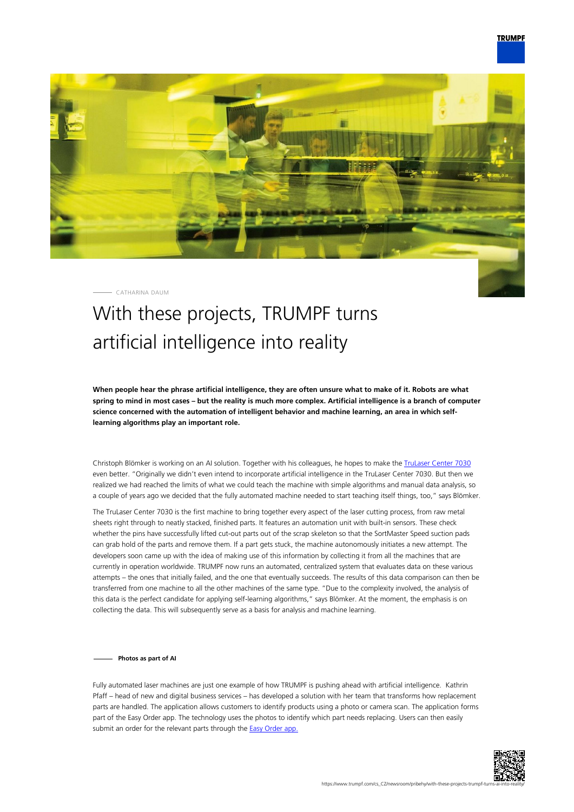

CATHARINA DAUM

## With these projects, TRUMPF turns artificial intelligence into reality

**When people hear the phrase artificial intelligence, they are often unsure what to make of it. Robots are what spring to mind in most cases – but the reality is much more complex. Artificial intelligence is a branch of computer science concerned with the automation of intelligent behavior and machine learning, an area in which selflearning algorithms play an important role.**

Christoph Blömker is working on an AI solution. Together with his colleagues, he hopes to make the [TruLaser Center 7030](https://www.trumpf.com/cs_CZ/produkty/stroje-systemy/2d-laserove-rezaci-stroje/trulaser-center-7030/#c1146) even better. "Originally we didn't even intend to incorporate artificial intelligence in the TruLaser Center 7030. But then we realized we had reached the limits of what we could teach the machine with simple algorithms and manual data analysis, so a couple of years ago we decided that the fully automated machine needed to start teaching itself things, too," says Blömker.

The TruLaser Center 7030 is the first machine to bring together every aspect of the laser cutting process, from raw metal sheets right through to neatly stacked, finished parts. It features an automation unit with built-in sensors. These check whether the pins have successfully lifted cut-out parts out of the scrap skeleton so that the SortMaster Speed suction pads can grab hold of the parts and remove them. If a part gets stuck, the machine autonomously initiates a new attempt. The developers soon came up with the idea of making use of this information by collecting it from all the machines that are currently in operation worldwide. TRUMPF now runs an automated, centralized system that evaluates data on these various attempts – the ones that initially failed, and the one that eventually succeeds. The results of this data comparison can then be transferred from one machine to all the other machines of the same type. "Due to the complexity involved, the analysis of this data is the perfect candidate for applying self-learning algorithms," says Blömker. At the moment, the emphasis is on collecting the data. This will subsequently serve as a basis for analysis and machine learning.

**Photos as part of AI**

Fully automated laser machines are just one example of how TRUMPF is pushing ahead with artificial intelligence. Kathrin Pfaff – head of new and digital business services – has developed a solution with her team that transforms how replacement parts are handled. The application allows customers to identify products using a photo or camera scan. The application forms part of the Easy Order app. The technology uses the photos to identify which part needs replacing. Users can then easily submit an order for the relevant parts through the [Easy Order app.](https://www.trumpf.com/cs_CZ/produkty/servis/servis-strojni-systemy-a-lasery/easy-order/)